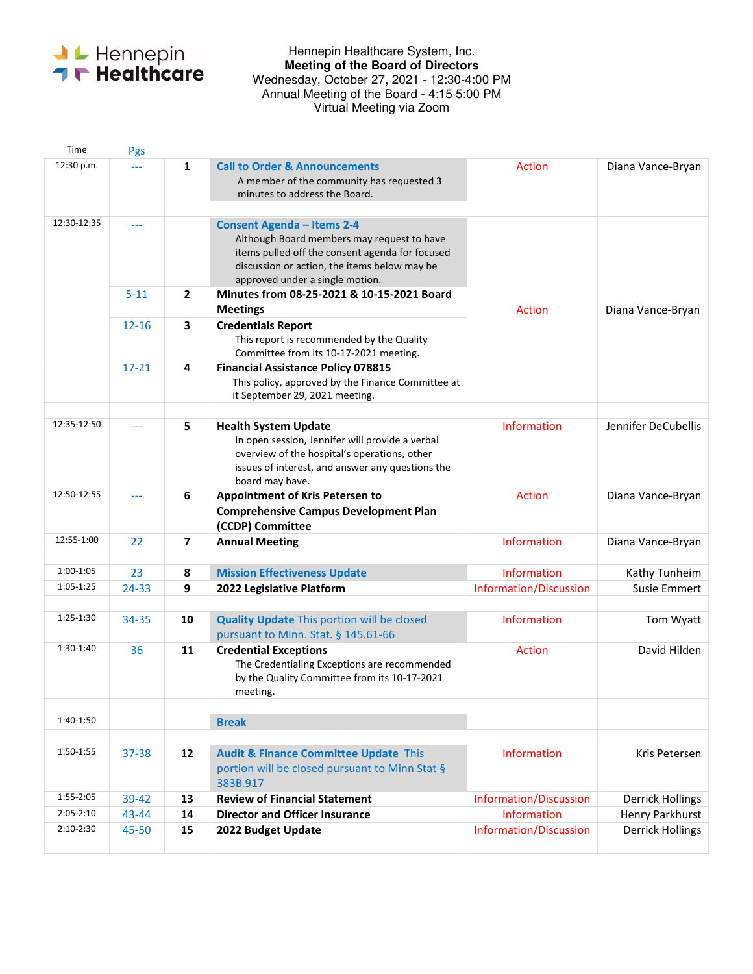

## Hennepin Healthcare System, Inc. **Meeting of the Board of Directors**  Wednesday, October 27, 2021 - 12:30-4:00 PM Annual Meeting of the Board - 4:15 5:00 PM Virtual Meeting via Zoom

| Time          | Pgs            |                |                                                                                                                                                                                                                       |                                              |                               |
|---------------|----------------|----------------|-----------------------------------------------------------------------------------------------------------------------------------------------------------------------------------------------------------------------|----------------------------------------------|-------------------------------|
| 12:30 p.m.    | <u>.</u>       | $\mathbf{1}$   | <b>Call to Order &amp; Announcements</b><br>A member of the community has requested 3<br>minutes to address the Board.                                                                                                | <b>Action</b>                                | Diana Vance-Bryan             |
| 12:30-12:35   | ---            |                | <b>Consent Agenda - Items 2-4</b><br>Although Board members may request to have<br>items pulled off the consent agenda for focused<br>discussion or action, the items below may be<br>approved under a single motion. |                                              |                               |
|               | $5 - 11$       | $\mathbf{2}$   | Minutes from 08-25-2021 & 10-15-2021 Board<br><b>Meetings</b>                                                                                                                                                         | <b>Action</b>                                | Diana Vance-Bryan             |
|               | $12 - 16$      | 3              | <b>Credentials Report</b><br>This report is recommended by the Quality<br>Committee from its 10-17-2021 meeting.                                                                                                      |                                              |                               |
|               | $17 - 21$      | 4              | <b>Financial Assistance Policy 078815</b><br>This policy, approved by the Finance Committee at<br>it September 29, 2021 meeting.                                                                                      |                                              |                               |
| 12:35-12:50   |                | 5              | <b>Health System Update</b><br>In open session, Jennifer will provide a verbal<br>overview of the hospital's operations, other<br>issues of interest, and answer any questions the<br>board may have.                 | <b>Information</b>                           | Jennifer DeCubellis           |
| 12:50-12:55   | $\overline{a}$ | 6              | Appointment of Kris Petersen to<br><b>Comprehensive Campus Development Plan</b><br>(CCDP) Committee                                                                                                                   | <b>Action</b>                                | Diana Vance-Bryan             |
| 12:55-1:00    | 22             | $\overline{7}$ | <b>Annual Meeting</b>                                                                                                                                                                                                 | Information                                  | Diana Vance-Bryan             |
| 1:00-1:05     |                |                |                                                                                                                                                                                                                       |                                              |                               |
| 1:05-1:25     | 23<br>24-33    | 8<br>9         | <b>Mission Effectiveness Update</b>                                                                                                                                                                                   | Information<br><b>Information/Discussion</b> | Kathy Tunheim<br>Susie Emmert |
|               |                |                | 2022 Legislative Platform                                                                                                                                                                                             |                                              |                               |
| 1:25-1:30     | 34-35          | 10             | <b>Quality Update This portion will be closed</b><br>pursuant to Minn. Stat. § 145.61-66                                                                                                                              | <b>Information</b>                           | Tom Wyatt                     |
| $1:30-1:40$   | 36             | 11             | <b>Credential Exceptions</b><br>The Credentialing Exceptions are recommended<br>by the Quality Committee from its 10-17-2021<br>meeting.                                                                              | <b>Action</b>                                | David Hilden                  |
|               |                |                |                                                                                                                                                                                                                       |                                              |                               |
| 1:40-1:50     |                |                | <b>Break</b>                                                                                                                                                                                                          |                                              |                               |
| 1:50-1:55     | 37-38          | 12             | <b>Audit &amp; Finance Committee Update This</b><br>portion will be closed pursuant to Minn Stat §<br>383B.917                                                                                                        | Information                                  | Kris Petersen                 |
| 1:55-2:05     | 39-42          | 13             | <b>Review of Financial Statement</b>                                                                                                                                                                                  | Information/Discussion                       | <b>Derrick Hollings</b>       |
| $2:05 - 2:10$ | 43-44          | 14             | <b>Director and Officer Insurance</b>                                                                                                                                                                                 | Information                                  | Henry Parkhurst               |
| $2:10-2:30$   | 45-50          | 15             | 2022 Budget Update                                                                                                                                                                                                    | Information/Discussion                       | <b>Derrick Hollings</b>       |
|               |                |                |                                                                                                                                                                                                                       |                                              |                               |